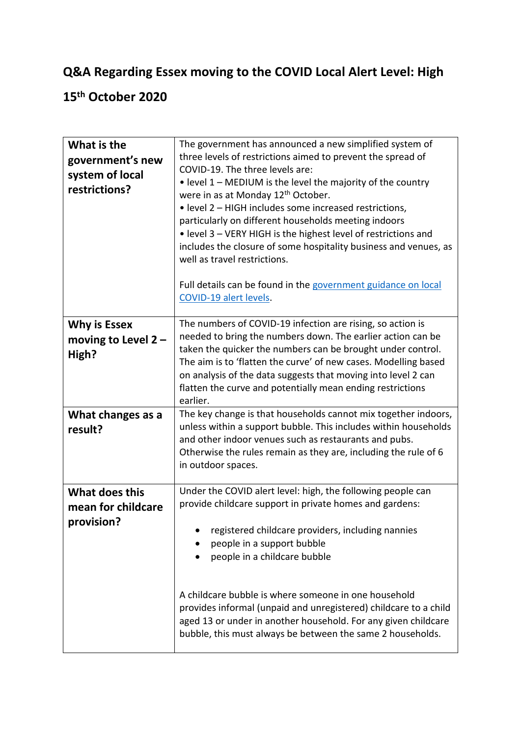## **Q&A Regarding Essex moving to the COVID Local Alert Level: High**

## **15th October 2020**

| What is the<br>government's new<br>system of local<br>restrictions? | The government has announced a new simplified system of<br>three levels of restrictions aimed to prevent the spread of<br>COVID-19. The three levels are:<br>• level 1 - MEDIUM is the level the majority of the country<br>were in as at Monday 12 <sup>th</sup> October.<br>• level 2 - HIGH includes some increased restrictions,<br>particularly on different households meeting indoors<br>• level 3 – VERY HIGH is the highest level of restrictions and<br>includes the closure of some hospitality business and venues, as<br>well as travel restrictions.<br>Full details can be found in the government guidance on local<br>COVID-19 alert levels. |
|---------------------------------------------------------------------|---------------------------------------------------------------------------------------------------------------------------------------------------------------------------------------------------------------------------------------------------------------------------------------------------------------------------------------------------------------------------------------------------------------------------------------------------------------------------------------------------------------------------------------------------------------------------------------------------------------------------------------------------------------|
| <b>Why is Essex</b><br>moving to Level $2 -$<br>High?               | The numbers of COVID-19 infection are rising, so action is<br>needed to bring the numbers down. The earlier action can be<br>taken the quicker the numbers can be brought under control.<br>The aim is to 'flatten the curve' of new cases. Modelling based<br>on analysis of the data suggests that moving into level 2 can<br>flatten the curve and potentially mean ending restrictions<br>earlier.                                                                                                                                                                                                                                                        |
| What changes as a<br>result?                                        | The key change is that households cannot mix together indoors,<br>unless within a support bubble. This includes within households<br>and other indoor venues such as restaurants and pubs.<br>Otherwise the rules remain as they are, including the rule of 6<br>in outdoor spaces.                                                                                                                                                                                                                                                                                                                                                                           |
| What does this<br>mean for childcare<br>provision?                  | Under the COVID alert level: high, the following people can<br>provide childcare support in private homes and gardens:<br>registered childcare providers, including nannies<br>people in a support bubble<br>people in a childcare bubble<br>A childcare bubble is where someone in one household<br>provides informal (unpaid and unregistered) childcare to a child<br>aged 13 or under in another household. For any given childcare<br>bubble, this must always be between the same 2 households.                                                                                                                                                         |